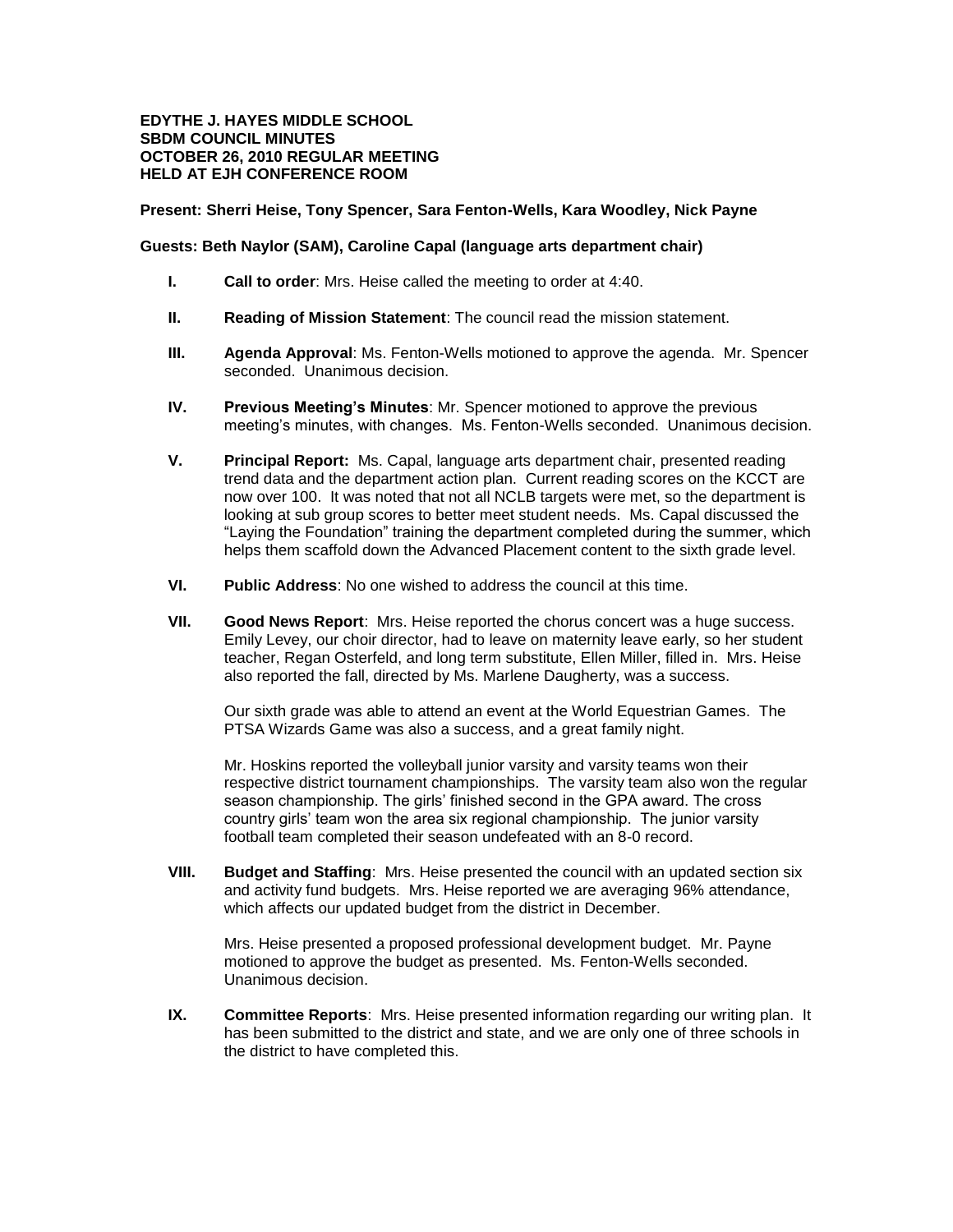## **EDYTHE J. HAYES MIDDLE SCHOOL SBDM COUNCIL MINUTES OCTOBER 26, 2010 REGULAR MEETING HELD AT EJH CONFERENCE ROOM**

## **Present: Sherri Heise, Tony Spencer, Sara Fenton-Wells, Kara Woodley, Nick Payne**

## **Guests: Beth Naylor (SAM), Caroline Capal (language arts department chair)**

- **I. Call to order**: Mrs. Heise called the meeting to order at 4:40.
- **II. Reading of Mission Statement**: The council read the mission statement.
- **III. Agenda Approval**: Ms. Fenton-Wells motioned to approve the agenda. Mr. Spencer seconded. Unanimous decision.
- **IV. Previous Meeting's Minutes**: Mr. Spencer motioned to approve the previous meeting's minutes, with changes. Ms. Fenton-Wells seconded. Unanimous decision.
- **V. Principal Report:** Ms. Capal, language arts department chair, presented reading trend data and the department action plan. Current reading scores on the KCCT are now over 100. It was noted that not all NCLB targets were met, so the department is looking at sub group scores to better meet student needs. Ms. Capal discussed the "Laying the Foundation" training the department completed during the summer, which helps them scaffold down the Advanced Placement content to the sixth grade level.
- **VI. Public Address**: No one wished to address the council at this time.
- **VII. Good News Report**: Mrs. Heise reported the chorus concert was a huge success. Emily Levey, our choir director, had to leave on maternity leave early, so her student teacher, Regan Osterfeld, and long term substitute, Ellen Miller, filled in. Mrs. Heise also reported the fall, directed by Ms. Marlene Daugherty, was a success.

Our sixth grade was able to attend an event at the World Equestrian Games. The PTSA Wizards Game was also a success, and a great family night.

Mr. Hoskins reported the volleyball junior varsity and varsity teams won their respective district tournament championships. The varsity team also won the regular season championship. The girls' finished second in the GPA award. The cross country girls' team won the area six regional championship. The junior varsity football team completed their season undefeated with an 8-0 record.

**VIII. Budget and Staffing**: Mrs. Heise presented the council with an updated section six and activity fund budgets. Mrs. Heise reported we are averaging 96% attendance, which affects our updated budget from the district in December.

Mrs. Heise presented a proposed professional development budget. Mr. Payne motioned to approve the budget as presented. Ms. Fenton-Wells seconded. Unanimous decision.

**IX. Committee Reports**: Mrs. Heise presented information regarding our writing plan. It has been submitted to the district and state, and we are only one of three schools in the district to have completed this.